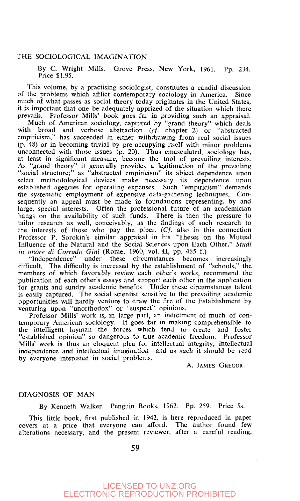## THE SOCIOLOGICAL IMAGINATION

By C. Wright Mills. Grove Press, New York, 1961. Pp. 234. Price \$1.95.

This volume, by a practising sociologist, constitutes a candid discussion of the problems which afflict contemporary sociology in America. Since much of what passes as social theory today originates in the United States, it is important that one be adequately apprized of the situation which there prevails. Professor Mills' book goes far in providing such an appraisal.

Much of American sociology, captured by "grand theory" which deals with broad and verbose abstraction  $(cf.$  chapter 2) or "abstracted empiricism," has succeeded in either withdrawing from real social issues (p. 48) or in becoming trivial by pre-occupying itself with minor problems unconnected with those issues (p. 20). Thus emasculated, sociology has, at least in significant measure, become the tool of prevailing interests. As "grand theory" it generally provides a legitimation of the prevailing "social structure;" as "abstracted empiricism" its abject dependence upon select methodological devices make necessary its dependence upon established agencies for operating expenses. Such "empiricism" demands the systematic employment of expensive data-gathering techniques. Consequently an appeal must be made to foundations representing, by and large, special interests. Often the professional future of an academician hangs on the availability of such funds. There is then the pressure to tailor research as well, conceivably, as the findings of such research to the interests of those who pay the piper.  $(Ct)$  also in this connection Professor P. Sorokin's similar appraisal in his "Theses on the Mutual Influence of the Natural and the Social Sciences upon Each Other," *Sludi in onore di Corrado Gini* (Rome, 1960, vol. II, pp. 465 f.)

"Independence" under these circumstances becomes increasingly diflicult. The difficulty is increased by the establishment of "schools," the members of which favorably review each other's works, recommend the publication of each other's essays and support each other in the application for grants and sundry academic benefits. Under these circumstances talent is easily captured. The social scientist sensitive to the prevailing academic opportunities will hardly venture to draw the fire of the Establishment by venturing upon "unorthodox" or "suspect" opinions.

Professor Mills' work is, in large part, an indictment of much of contemporary American sociology. It goes far in making comprehensible to the intelligent layman the forces which tend to create and foster "established opinion" so dangerous to true academic freedom. Professor Mills' work is thus an eloquent plea for intellectual integrity, intellectual independence and intellectual imagination—and as such it should be read by everyone interested in social problems.

A. JAMES GREGOR.

## DIAGNOSIS OF MAN

By Kenneth Walker. Penguin Books, 1962, Pp. 259. Price 5s.

This little book, first published in 1942, is here reproduced in paper covers at a price that everyone can afford. The author found few alterations necessary, and the present reviewer, after a careful reading,